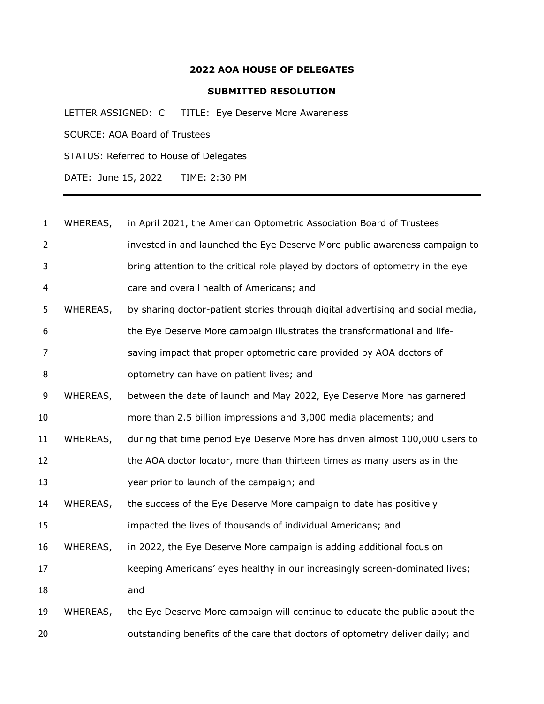## **AOA HOUSE OF DELEGATES**

## **SUBMITTED RESOLUTION**

LETTER ASSIGNED: C TITLE: Eye Deserve More Awareness SOURCE: AOA Board of Trustees STATUS: Referred to House of Delegates

DATE: June 15, 2022 TIME: 2:30 PM

| $\mathbf{1}$   | WHEREAS, | in April 2021, the American Optometric Association Board of Trustees            |
|----------------|----------|---------------------------------------------------------------------------------|
| $\overline{2}$ |          | invested in and launched the Eye Deserve More public awareness campaign to      |
| 3              |          | bring attention to the critical role played by doctors of optometry in the eye  |
| $\overline{4}$ |          | care and overall health of Americans; and                                       |
| 5              | WHEREAS, | by sharing doctor-patient stories through digital advertising and social media, |
| 6              |          | the Eye Deserve More campaign illustrates the transformational and life-        |
| 7              |          | saving impact that proper optometric care provided by AOA doctors of            |
| 8              |          | optometry can have on patient lives; and                                        |
| 9              | WHEREAS, | between the date of launch and May 2022, Eye Deserve More has garnered          |
| 10             |          | more than 2.5 billion impressions and 3,000 media placements; and               |
| 11             | WHEREAS, | during that time period Eye Deserve More has driven almost 100,000 users to     |
| 12             |          | the AOA doctor locator, more than thirteen times as many users as in the        |
| 13             |          | year prior to launch of the campaign; and                                       |
| 14             | WHEREAS, | the success of the Eye Deserve More campaign to date has positively             |
| 15             |          | impacted the lives of thousands of individual Americans; and                    |
| 16             | WHEREAS, | in 2022, the Eye Deserve More campaign is adding additional focus on            |
| 17             |          | keeping Americans' eyes healthy in our increasingly screen-dominated lives;     |
| 18             |          | and                                                                             |
| 19             | WHEREAS, | the Eye Deserve More campaign will continue to educate the public about the     |
| 20             |          | outstanding benefits of the care that doctors of optometry deliver daily; and   |